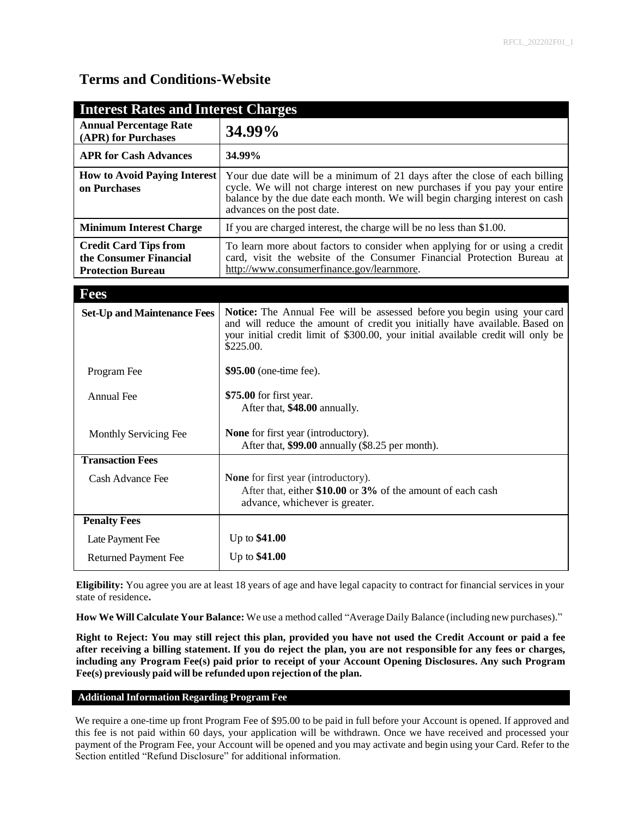## **Terms and Conditions-Website**

| <b>Interest Rates and Interest Charges</b>                                         |                                                                                                                                                                                                                                                                       |
|------------------------------------------------------------------------------------|-----------------------------------------------------------------------------------------------------------------------------------------------------------------------------------------------------------------------------------------------------------------------|
| <b>Annual Percentage Rate</b><br>(APR) for Purchases                               | 34.99%                                                                                                                                                                                                                                                                |
| <b>APR for Cash Advances</b>                                                       | 34.99%                                                                                                                                                                                                                                                                |
| <b>How to Avoid Paying Interest</b><br>on Purchases                                | Your due date will be a minimum of 21 days after the close of each billing<br>cycle. We will not charge interest on new purchases if you pay your entire<br>balance by the due date each month. We will begin charging interest on cash<br>advances on the post date. |
| <b>Minimum Interest Charge</b>                                                     | If you are charged interest, the charge will be no less than \$1.00.                                                                                                                                                                                                  |
| <b>Credit Card Tips from</b><br>the Consumer Financial<br><b>Protection Bureau</b> | To learn more about factors to consider when applying for or using a credit<br>card, visit the website of the Consumer Financial Protection Bureau at<br>http://www.consumerfinance.gov/learnmore.                                                                    |
| <b>Fees</b>                                                                        |                                                                                                                                                                                                                                                                       |
| <b>Set-Up and Maintenance Fees</b>                                                 | Notice: The Annual Fee will be assessed before you begin using your card<br>and will reduce the amount of credit you initially have available. Based on<br>your initial credit limit of \$300.00, your initial available credit will only be<br>\$225.00.             |
| Program Fee                                                                        | \$95.00 (one-time fee).                                                                                                                                                                                                                                               |
| Annual Fee                                                                         | \$75.00 for first year.<br>After that, \$48.00 annually.                                                                                                                                                                                                              |
| Monthly Servicing Fee                                                              | None for first year (introductory).<br>After that, \$99.00 annually (\$8.25 per month).                                                                                                                                                                               |
| <b>Transaction Fees</b>                                                            |                                                                                                                                                                                                                                                                       |
| <b>Cash Advance Fee</b>                                                            | None for first year (introductory).<br>After that, either \$10.00 or 3% of the amount of each cash<br>advance, whichever is greater.                                                                                                                                  |
| <b>Penalty Fees</b>                                                                |                                                                                                                                                                                                                                                                       |
| Late Payment Fee                                                                   | Up to \$41.00                                                                                                                                                                                                                                                         |
| <b>Returned Payment Fee</b>                                                        | Up to \$41.00                                                                                                                                                                                                                                                         |

**Eligibility:** You agree you are at least 18 years of age and have legal capacity to contract for financial services in your state of residence**.**

**How We Will Calculate Your Balance:** We use a method called "Average Daily Balance (including new purchases)."

Right to Reject: You may still reject this plan, provided you have not used the Credit Account or paid a fee after receiving a billing statement. If you do reject the plan, you are not responsible for any fees or charges, **including any Program Fee(s) paid prior to receipt of your Account Opening Disclosures. Any such Program Fee(s) previously paid will be refunded upon rejection of the plan.**

### **AdditionalInformation Regarding Program Fee**

We require a one-time up front Program Fee of \$95.00 to be paid in full before your Account is opened. If approved and this fee is not paid within 60 days, your application will be withdrawn. Once we have received and processed your payment of the Program Fee, your Account will be opened and you may activate and begin using your Card. Refer to the Section entitled "Refund Disclosure" for additional information.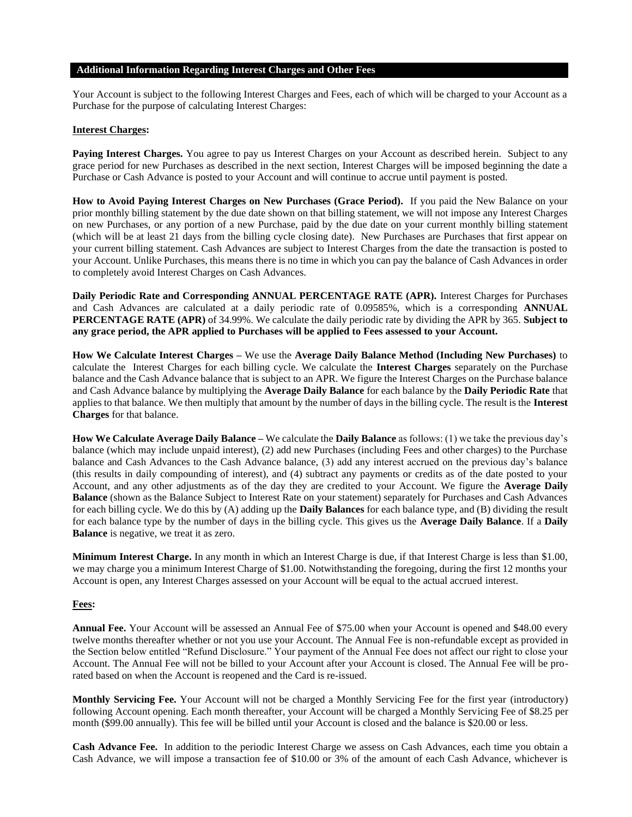#### **Additional Information Regarding Interest Charges and Other Fees**

Your Account is subject to the following Interest Charges and Fees, each of which will be charged to your Account as a Purchase for the purpose of calculating Interest Charges:

#### **Interest Charges:**

**Paying Interest Charges.** You agree to pay us Interest Charges on your Account as described herein. Subject to any grace period for new Purchases as described in the next section, Interest Charges will be imposed beginning the date a Purchase or Cash Advance is posted to your Account and will continue to accrue until payment is posted.

**How to Avoid Paying Interest Charges on New Purchases (Grace Period).** If you paid the New Balance on your prior monthly billing statement by the due date shown on that billing statement, we will not impose any Interest Charges on new Purchases, or any portion of a new Purchase, paid by the due date on your current monthly billing statement (which will be at least 21 days from the billing cycle closing date). New Purchases are Purchases that first appear on your current billing statement. Cash Advances are subject to Interest Charges from the date the transaction is posted to your Account. Unlike Purchases, this means there is no time in which you can pay the balance of Cash Advances in order to completely avoid Interest Charges on Cash Advances.

**Daily Periodic Rate and Corresponding ANNUAL PERCENTAGE RATE (APR).** Interest Charges for Purchases and Cash Advances are calculated at a daily periodic rate of 0.09585%, which is a corresponding **ANNUAL PERCENTAGE RATE (APR)** of 34.99%. We calculate the daily periodic rate by dividing the APR by 365. **Subject to any grace period, the APR applied to Purchases will be applied to Fees assessed to your Account.**

**How We Calculate Interest Charges –** We use the **Average Daily Balance Method (Including New Purchases)** to calculate the Interest Charges for each billing cycle. We calculate the **Interest Charges** separately on the Purchase balance and the Cash Advance balance that is subject to an APR. We figure the Interest Charges on the Purchase balance and Cash Advance balance by multiplying the **Average Daily Balance** for each balance by the **Daily Periodic Rate** that applies to that balance. We then multiply that amount by the number of days in the billing cycle. The result is the **Interest Charges** for that balance.

**How We Calculate Average Daily Balance –** We calculate the **Daily Balance** as follows: (1) we take the previous day's balance (which may include unpaid interest), (2) add new Purchases (including Fees and other charges) to the Purchase balance and Cash Advances to the Cash Advance balance, (3) add any interest accrued on the previous day's balance (this results in daily compounding of interest), and (4) subtract any payments or credits as of the date posted to your Account, and any other adjustments as of the day they are credited to your Account. We figure the **Average Daily Balance** (shown as the Balance Subject to Interest Rate on your statement) separately for Purchases and Cash Advances for each billing cycle. We do this by (A) adding up the **Daily Balances** for each balance type, and (B) dividing the result for each balance type by the number of days in the billing cycle. This gives us the **Average Daily Balance**. If a **Daily Balance** is negative, we treat it as zero.

**Minimum Interest Charge.** In any month in which an Interest Charge is due, if that Interest Charge is less than \$1.00, we may charge you a minimum Interest Charge of \$1.00. Notwithstanding the foregoing, during the first 12 months your Account is open, any Interest Charges assessed on your Account will be equal to the actual accrued interest.

#### **Fees:**

**Annual Fee.** Your Account will be assessed an Annual Fee of \$75.00 when your Account is opened and \$48.00 every twelve months thereafter whether or not you use your Account. The Annual Fee is non-refundable except as provided in the Section below entitled "Refund Disclosure." Your payment of the Annual Fee does not affect our right to close your Account. The Annual Fee will not be billed to your Account after your Account is closed. The Annual Fee will be prorated based on when the Account is reopened and the Card is re-issued.

**Monthly Servicing Fee.** Your Account will not be charged a Monthly Servicing Fee for the first year (introductory) following Account opening. Each month thereafter, your Account will be charged a Monthly Servicing Fee of \$8.25 per month (\$99.00 annually). This fee will be billed until your Account is closed and the balance is \$20.00 or less.

**Cash Advance Fee.** In addition to the periodic Interest Charge we assess on Cash Advances, each time you obtain a Cash Advance, we will impose a transaction fee of \$10.00 or 3% of the amount of each Cash Advance, whichever is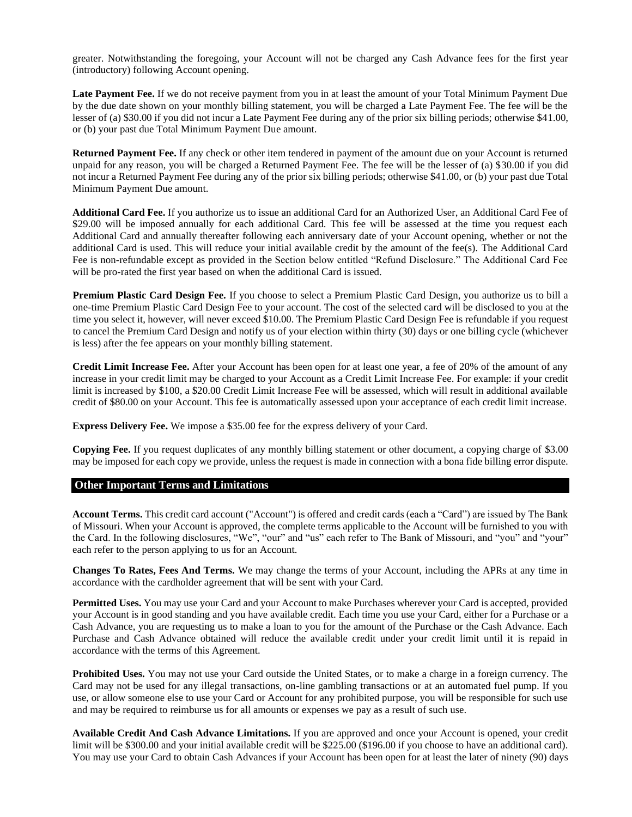greater. Notwithstanding the foregoing, your Account will not be charged any Cash Advance fees for the first year (introductory) following Account opening.

**Late Payment Fee.** If we do not receive payment from you in at least the amount of your Total Minimum Payment Due by the due date shown on your monthly billing statement, you will be charged a Late Payment Fee. The fee will be the lesser of (a) \$30.00 if you did not incur a Late Payment Fee during any of the prior six billing periods; otherwise \$41.00, or (b) your past due Total Minimum Payment Due amount.

**Returned Payment Fee.** If any check or other item tendered in payment of the amount due on your Account is returned unpaid for any reason, you will be charged a Returned Payment Fee. The fee will be the lesser of (a) \$30.00 if you did not incur a Returned Payment Fee during any of the prior six billing periods; otherwise \$41.00, or (b) your past due Total Minimum Payment Due amount.

**Additional Card Fee.** If you authorize us to issue an additional Card for an Authorized User, an Additional Card Fee of \$29.00 will be imposed annually for each additional Card. This fee will be assessed at the time you request each Additional Card and annually thereafter following each anniversary date of your Account opening, whether or not the additional Card is used. This will reduce your initial available credit by the amount of the fee(s). The Additional Card Fee is non-refundable except as provided in the Section below entitled "Refund Disclosure." The Additional Card Fee will be pro-rated the first year based on when the additional Card is issued.

**Premium Plastic Card Design Fee.** If you choose to select a Premium Plastic Card Design, you authorize us to bill a one-time Premium Plastic Card Design Fee to your account. The cost of the selected card will be disclosed to you at the time you select it, however, will never exceed \$10.00. The Premium Plastic Card Design Fee is refundable if you request to cancel the Premium Card Design and notify us of your election within thirty (30) days or one billing cycle (whichever is less) after the fee appears on your monthly billing statement.

**Credit Limit Increase Fee.** After your Account has been open for at least one year, a fee of 20% of the amount of any increase in your credit limit may be charged to your Account as a Credit Limit Increase Fee. For example: if your credit limit is increased by \$100, a \$20.00 Credit Limit Increase Fee will be assessed, which will result in additional available credit of \$80.00 on your Account. This fee is automatically assessed upon your acceptance of each credit limit increase.

**Express Delivery Fee.** We impose a \$35.00 fee for the express delivery of your Card.

**Copying Fee.** If you request duplicates of any monthly billing statement or other document, a copying charge of \$3.00 may be imposed for each copy we provide, unless the request is made in connection with a bona fide billing error dispute.

#### **Other Important Terms and Limitations**

**Account Terms.** This credit card account ("Account") is offered and credit cards (each a "Card") are issued by The Bank of Missouri. When your Account is approved, the complete terms applicable to the Account will be furnished to you with the Card. In the following disclosures, "We", "our" and "us" each refer to The Bank of Missouri, and "you" and "your" each refer to the person applying to us for an Account.

**Changes To Rates, Fees And Terms.** We may change the terms of your Account, including the APRs at any time in accordance with the cardholder agreement that will be sent with your Card.

**Permitted Uses.** You may use your Card and your Account to make Purchases wherever your Card is accepted, provided your Account is in good standing and you have available credit. Each time you use your Card, either for a Purchase or a Cash Advance, you are requesting us to make a loan to you for the amount of the Purchase or the Cash Advance. Each Purchase and Cash Advance obtained will reduce the available credit under your credit limit until it is repaid in accordance with the terms of this Agreement.

**Prohibited Uses.** You may not use your Card outside the United States, or to make a charge in a foreign currency. The Card may not be used for any illegal transactions, on-line gambling transactions or at an automated fuel pump. If you use, or allow someone else to use your Card or Account for any prohibited purpose, you will be responsible for such use and may be required to reimburse us for all amounts or expenses we pay as a result of such use.

**Available Credit And Cash Advance Limitations.** If you are approved and once your Account is opened, your credit limit will be \$300.00 and your initial available credit will be \$225.00 (\$196.00 if you choose to have an additional card). You may use your Card to obtain Cash Advances if your Account has been open for at least the later of ninety (90) days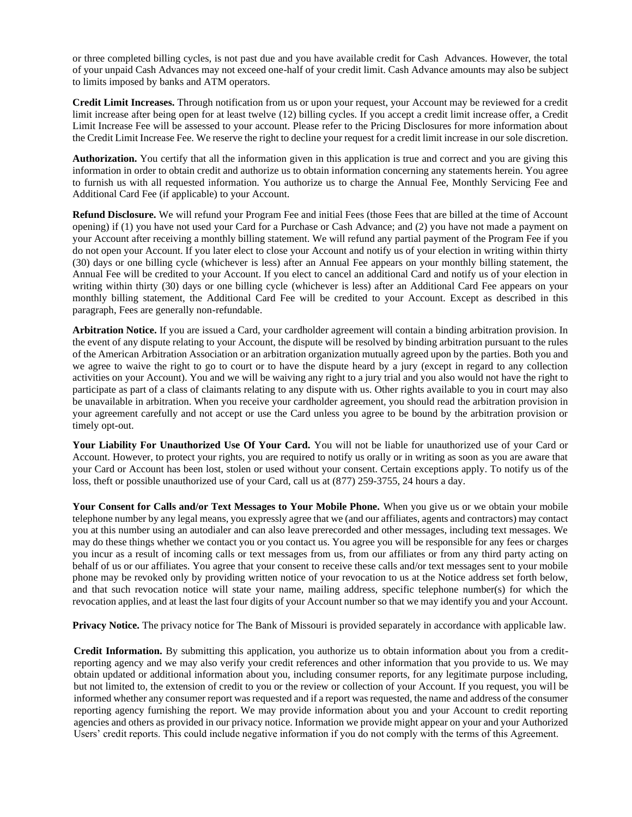or three completed billing cycles, is not past due and you have available credit for Cash Advances. However, the total of your unpaid Cash Advances may not exceed one-half of your credit limit. Cash Advance amounts may also be subject to limits imposed by banks and ATM operators.

**Credit Limit Increases.** Through notification from us or upon your request, your Account may be reviewed for a credit limit increase after being open for at least twelve (12) billing cycles. If you accept a credit limit increase offer, a Credit Limit Increase Fee will be assessed to your account. Please refer to the Pricing Disclosures for more information about the Credit Limit Increase Fee. We reserve the right to decline your request for a credit limit increase in our sole discretion.

**Authorization.** You certify that all the information given in this application is true and correct and you are giving this information in order to obtain credit and authorize us to obtain information concerning any statements herein. You agree to furnish us with all requested information. You authorize us to charge the Annual Fee, Monthly Servicing Fee and Additional Card Fee (if applicable) to your Account.

**Refund Disclosure.** We will refund your Program Fee and initial Fees (those Fees that are billed at the time of Account opening) if (1) you have not used your Card for a Purchase or Cash Advance; and (2) you have not made a payment on your Account after receiving a monthly billing statement. We will refund any partial payment of the Program Fee if you do not open your Account. If you later elect to close your Account and notify us of your election in writing within thirty (30) days or one billing cycle (whichever is less) after an Annual Fee appears on your monthly billing statement, the Annual Fee will be credited to your Account. If you elect to cancel an additional Card and notify us of your election in writing within thirty (30) days or one billing cycle (whichever is less) after an Additional Card Fee appears on your monthly billing statement, the Additional Card Fee will be credited to your Account. Except as described in this paragraph, Fees are generally non-refundable.

**Arbitration Notice.** If you are issued a Card, your cardholder agreement will contain a binding arbitration provision. In the event of any dispute relating to your Account, the dispute will be resolved by binding arbitration pursuant to the rules of the American Arbitration Association or an arbitration organization mutually agreed upon by the parties. Both you and we agree to waive the right to go to court or to have the dispute heard by a jury (except in regard to any collection activities on your Account). You and we will be waiving any right to a jury trial and you also would not have the right to participate as part of a class of claimants relating to any dispute with us. Other rights available to you in court may also be unavailable in arbitration. When you receive your cardholder agreement, you should read the arbitration provision in your agreement carefully and not accept or use the Card unless you agree to be bound by the arbitration provision or timely opt-out.

**Your Liability For Unauthorized Use Of Your Card.** You will not be liable for unauthorized use of your Card or Account. However, to protect your rights, you are required to notify us orally or in writing as soon as you are aware that your Card or Account has been lost, stolen or used without your consent. Certain exceptions apply. To notify us of the loss, theft or possible unauthorized use of your Card, call us at (877) 259-3755, 24 hours a day.

**Your Consent for Calls and/or Text Messages to Your Mobile Phone.** When you give us or we obtain your mobile telephone number by any legal means, you expressly agree that we (and our affiliates, agents and contractors) may contact you at this number using an autodialer and can also leave prerecorded and other messages, including text messages. We may do these things whether we contact you or you contact us. You agree you will be responsible for any fees or charges you incur as a result of incoming calls or text messages from us, from our affiliates or from any third party acting on behalf of us or our affiliates. You agree that your consent to receive these calls and/or text messages sent to your mobile phone may be revoked only by providing written notice of your revocation to us at the Notice address set forth below, and that such revocation notice will state your name, mailing address, specific telephone number(s) for which the revocation applies, and at least the last four digits of your Account number so that we may identify you and your Account.

**Privacy Notice.** The privacy notice for The Bank of Missouri is provided separately in accordance with applicable law.

**Credit Information.** By submitting this application, you authorize us to obtain information about you from a creditreporting agency and we may also verify your credit references and other information that you provide to us. We may obtain updated or additional information about you, including consumer reports, for any legitimate purpose including, but not limited to, the extension of credit to you or the review or collection of your Account. If you request, you will be informed whether any consumer report was requested and if a report was requested, the name and address of the consumer reporting agency furnishing the report. We may provide information about you and your Account to credit reporting agencies and others as provided in our privacy notice. Information we provide might appear on your and your Authorized Users' credit reports. This could include negative information if you do not comply with the terms of this Agreement.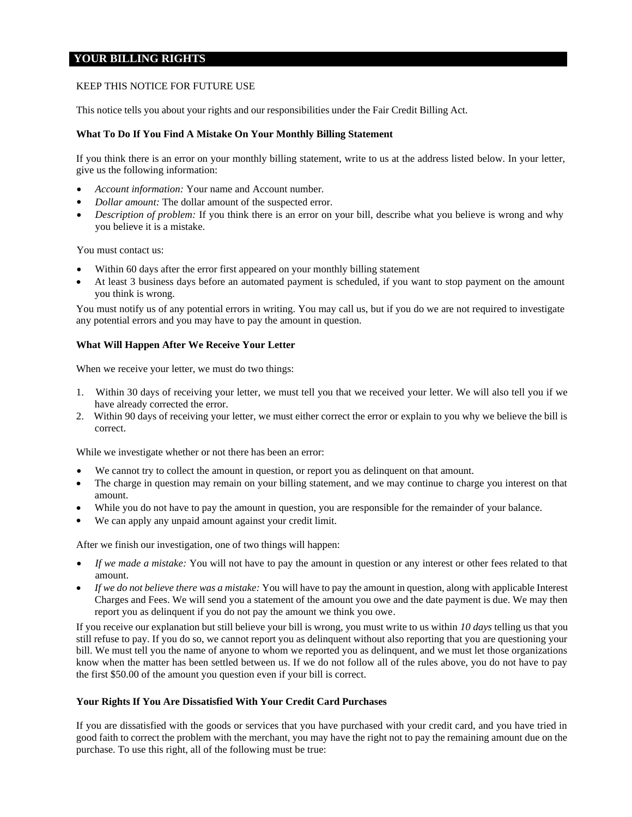## **YOUR BILLING RIGHTS**

#### KEEP THIS NOTICE FOR FUTURE USE

This notice tells you about your rights and our responsibilities under the Fair Credit Billing Act.

#### **What To Do If You Find A Mistake On Your Monthly Billing Statement**

If you think there is an error on your monthly billing statement, write to us at the address listed below. In your letter, give us the following information:

- *Account information:* Your name and Account number.
- *Dollar amount:* The dollar amount of the suspected error.
- *Description of problem:* If you think there is an error on your bill, describe what you believe is wrong and why you believe it is a mistake.

You must contact us:

- Within 60 days after the error first appeared on your monthly billing statement
- At least 3 business days before an automated payment is scheduled, if you want to stop payment on the amount you think is wrong.

You must notify us of any potential errors in writing. You may call us, but if you do we are not required to investigate any potential errors and you may have to pay the amount in question.

#### **What Will Happen After We Receive Your Letter**

When we receive your letter, we must do two things:

- 1. Within 30 days of receiving your letter, we must tell you that we received your letter. We will also tell you if we have already corrected the error.
- 2. Within 90 days of receiving your letter, we must either correct the error or explain to you why we believe the bill is correct.

While we investigate whether or not there has been an error:

- We cannot try to collect the amount in question, or report you as delinquent on that amount.
- The charge in question may remain on your billing statement, and we may continue to charge you interest on that amount.
- While you do not have to pay the amount in question, you are responsible for the remainder of your balance.
- We can apply any unpaid amount against your credit limit.

After we finish our investigation, one of two things will happen:

- *If we made a mistake:* You will not have to pay the amount in question or any interest or other fees related to that amount.
- *If we do not believe there was a mistake:* You will have to pay the amount in question, along with applicable Interest Charges and Fees. We will send you a statement of the amount you owe and the date payment is due. We may then report you as delinquent if you do not pay the amount we think you owe.

If you receive our explanation but still believe your bill is wrong, you must write to us within *10 days* telling us that you still refuse to pay. If you do so, we cannot report you as delinquent without also reporting that you are questioning your bill. We must tell you the name of anyone to whom we reported you as delinquent, and we must let those organizations know when the matter has been settled between us. If we do not follow all of the rules above, you do not have to pay the first \$50.00 of the amount you question even if your bill is correct.

#### **Your Rights If You Are Dissatisfied With Your Credit Card Purchases**

If you are dissatisfied with the goods or services that you have purchased with your credit card, and you have tried in good faith to correct the problem with the merchant, you may have the right not to pay the remaining amount due on the purchase. To use this right, all of the following must be true: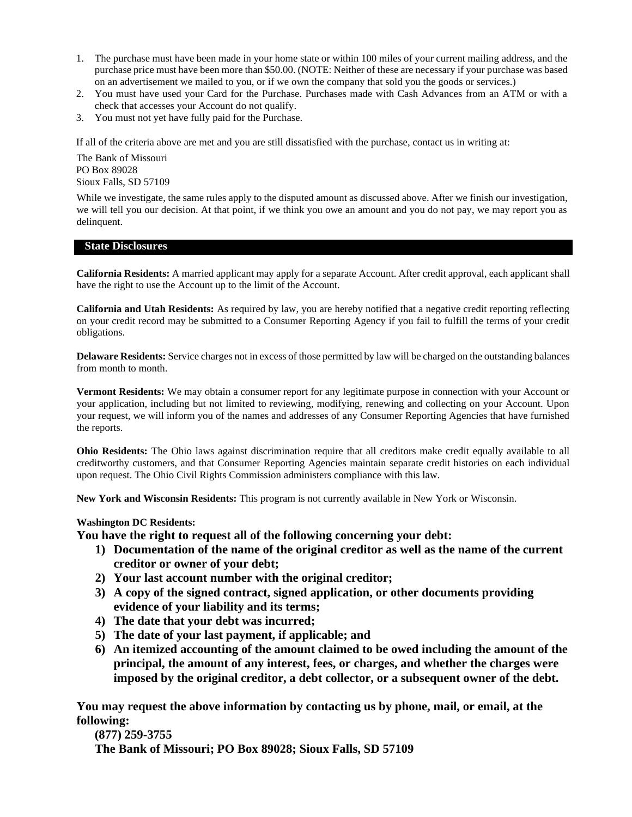- 1. The purchase must have been made in your home state or within 100 miles of your current mailing address, and the purchase price must have been more than \$50.00. (NOTE: Neither of these are necessary if your purchase was based on an advertisement we mailed to you, or if we own the company that sold you the goods or services.)
- 2. You must have used your Card for the Purchase. Purchases made with Cash Advances from an ATM or with a check that accesses your Account do not qualify.
- 3. You must not yet have fully paid for the Purchase.

If all of the criteria above are met and you are still dissatisfied with the purchase, contact us in writing at:

The Bank of Missouri PO Box 89028 Sioux Falls, SD 57109

While we investigate, the same rules apply to the disputed amount as discussed above. After we finish our investigation, we will tell you our decision. At that point, if we think you owe an amount and you do not pay, we may report you as delinquent.

#### **State Disclosures**

**California Residents:** A married applicant may apply for a separate Account. After credit approval, each applicant shall have the right to use the Account up to the limit of the Account.

**California and Utah Residents:** As required by law, you are hereby notified that a negative credit reporting reflecting on your credit record may be submitted to a Consumer Reporting Agency if you fail to fulfill the terms of your credit obligations.

**Delaware Residents:** Service charges not in excess of those permitted by law will be charged on the outstanding balances from month to month.

**Vermont Residents:** We may obtain a consumer report for any legitimate purpose in connection with your Account or your application, including but not limited to reviewing, modifying, renewing and collecting on your Account. Upon your request, we will inform you of the names and addresses of any Consumer Reporting Agencies that have furnished the reports.

**Ohio Residents:** The Ohio laws against discrimination require that all creditors make credit equally available to all creditworthy customers, and that Consumer Reporting Agencies maintain separate credit histories on each individual upon request. The Ohio Civil Rights Commission administers compliance with this law.

**New York and Wisconsin Residents:** This program is not currently available in New York or Wisconsin.

#### **Washington DC Residents:**

**You have the right to request all of the following concerning your debt:**

- **1) Documentation of the name of the original creditor as well as the name of the current creditor or owner of your debt;**
- **2) Your last account number with the original creditor;**
- **3) A copy of the signed contract, signed application, or other documents providing evidence of your liability and its terms;**
- **4) The date that your debt was incurred;**
- **5) The date of your last payment, if applicable; and**
- **6) An itemized accounting of the amount claimed to be owed including the amount of the principal, the amount of any interest, fees, or charges, and whether the charges were imposed by the original creditor, a debt collector, or a subsequent owner of the debt.**

**You may request the above information by contacting us by phone, mail, or email, at the following:** 

**(877) 259-3755 The Bank of Missouri; PO Box 89028; Sioux Falls, SD 57109**